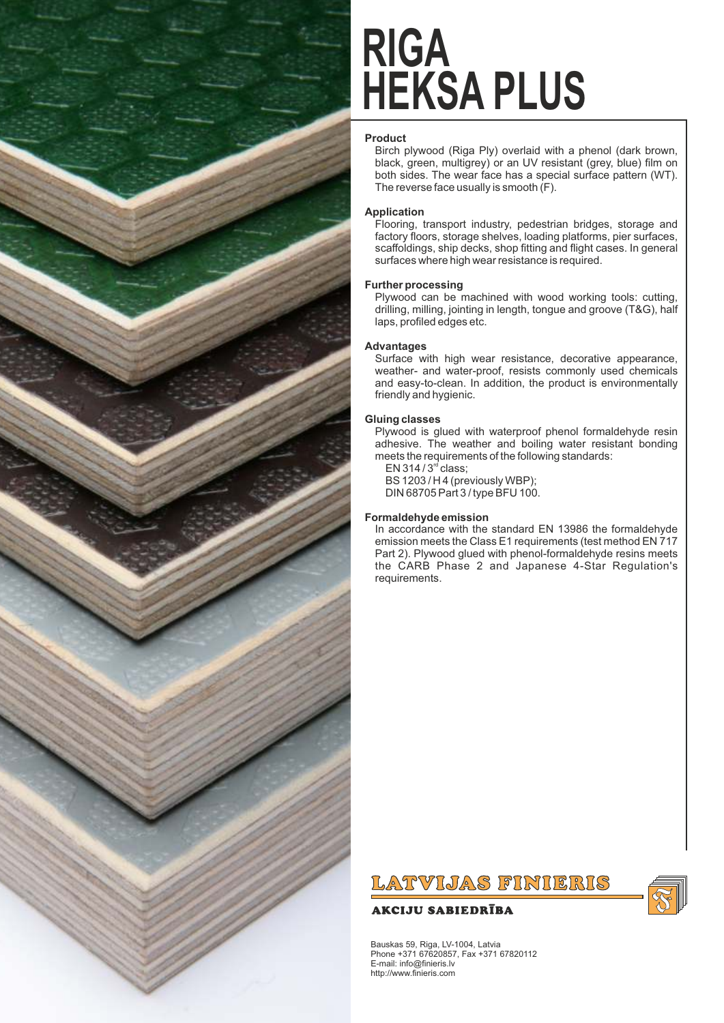

## **HEKSA PLUS RIGA**

## **Product**

Birch plywood (Riga Ply) overlaid with a phenol (dark brown, black, green, multigrey) or an UV resistant (grey, blue) film on both sides. The wear face has a special surface pattern (WT). The reverse face usually is smooth (F).

## **Application**

Flooring, transport industry, pedestrian bridges, storage and factory floors, storage shelves, loading platforms, pier surfaces, scaffoldings, ship decks, shop fitting and flight cases. In general surfaces where high wear resistance is required.

## **Further processing**

Plywood can be machined with wood working tools: cutting, drilling, milling, jointing in length, tongue and groove (T&G), half laps, profiled edges etc.

## **Advantages**

Surface with high wear resistance, decorative appearance, weather- and water-proof, resists commonly used chemicals and easy-to-clean. In addition, the product is environmentally friendly and hygienic.

### **Gluing classes**

Plywood is glued with waterproof phenol formaldehyde resin adhesive. The weather and boiling water resistant bonding meets the requirements of the following standards:

 $EN$  314 /  $3<sup>rd</sup>$  class; BS 1203 / H 4 (previously WBP); DIN 68705 Part 3 / type BFU 100.

## **Formaldehyde emission**

In accordance with the standard EN 13986 the formaldehyde emission meets the Class E1 requirements (test method EN 717 Part 2). Plywood glued with phenol-formaldehyde resins meets the CARB Phase 2 and Japanese 4-Star Regulation's requirements.

## LATVIJAS FINIERIS

## **AKCIJU SABIEDRĪBA**



Bauskas 59, Riga, LV-1004, Latvia Phone +371 67620857, Fax +371 67820112 E-mail: info@finieris.lv http://www.finieris.com